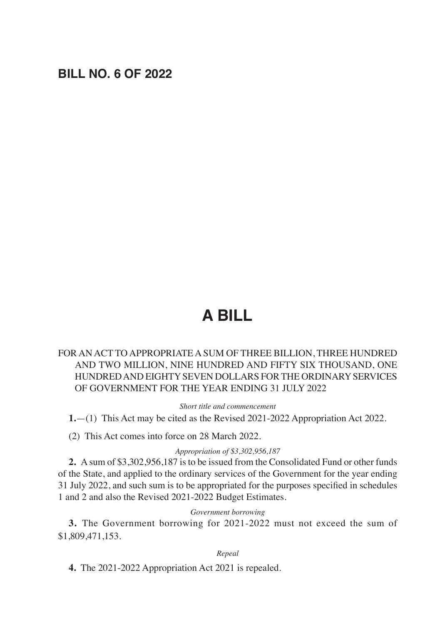## **BILL NO. 6 OF 2022**

# **A BILL**

#### FOR AN ACT TO APPROPRIATE A SUM OF THREE BILLION, THREE HUNDRED AND TWO MILLION, NINE HUNDRED AND FIFTY SIX THOUSAND, ONE HUNDRED AND EIGHTY SEVEN DOLLARS FOR THE ORDINARY SERVICES OF GOVERNMENT FOR THE YEAR ENDING 31 JULY 2022

*Short title and commencement*

**1.**—(1) This Act may be cited as the Revised 2021-2022 Appropriation Act 2022.

(2) This Act comes into force on 28 March 2022.

#### *Appropriation of \$3,302,956,187*

**2.** A sum of \$3,302,956,187 is to be issued from the Consolidated Fund or other funds of the State, and applied to the ordinary services of the Government for the year ending 31 July 2022, and such sum is to be appropriated for the purposes specified in schedules 1 and 2 and also the Revised 2021-2022 Budget Estimates.

#### *Government borrowing*

**3.** The Government borrowing for 2021-2022 must not exceed the sum of \$1,809,471,153.

#### *Repeal*

**4.** The 2021-2022 Appropriation Act 2021 is repealed.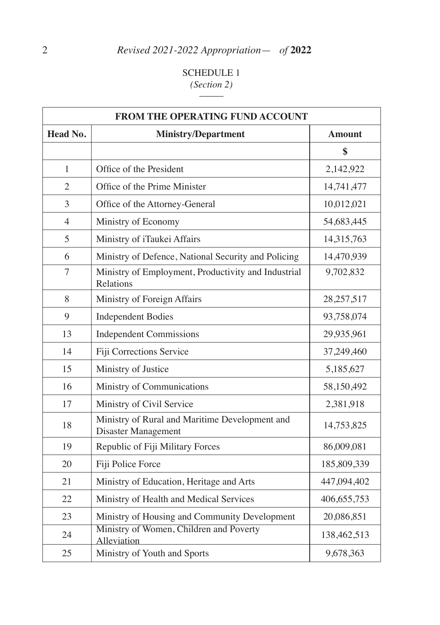# SCHEDULE 1 *(Section 2)* \_\_\_\_\_

| FROM THE OPERATING FUND ACCOUNT |                                                                              |               |  |  |
|---------------------------------|------------------------------------------------------------------------------|---------------|--|--|
| Head No.                        | <b>Ministry/Department</b>                                                   | <b>Amount</b> |  |  |
|                                 |                                                                              | \$            |  |  |
| 1                               | Office of the President                                                      | 2,142,922     |  |  |
| $\overline{2}$                  | Office of the Prime Minister                                                 | 14,741,477    |  |  |
| 3                               | Office of the Attorney-General                                               | 10,012,021    |  |  |
| $\overline{4}$                  | Ministry of Economy                                                          | 54,683,445    |  |  |
| 5                               | Ministry of iTaukei Affairs                                                  | 14,315,763    |  |  |
| 6                               | Ministry of Defence, National Security and Policing                          | 14,470,939    |  |  |
| 7                               | Ministry of Employment, Productivity and Industrial<br>Relations             | 9,702,832     |  |  |
| 8                               | Ministry of Foreign Affairs                                                  | 28, 257, 517  |  |  |
| 9                               | <b>Independent Bodies</b>                                                    | 93,758,074    |  |  |
| 13                              | <b>Independent Commissions</b>                                               | 29,935,961    |  |  |
| 14                              | Fiji Corrections Service                                                     | 37,249,460    |  |  |
| 15                              | Ministry of Justice                                                          | 5,185,627     |  |  |
| 16                              | Ministry of Communications                                                   | 58,150,492    |  |  |
| 17                              | Ministry of Civil Service                                                    | 2,381,918     |  |  |
| 18                              | Ministry of Rural and Maritime Development and<br><b>Disaster Management</b> | 14,753,825    |  |  |
| 19                              | Republic of Fiji Military Forces                                             | 86,009,081    |  |  |
| 20                              | Fiji Police Force                                                            | 185,809,339   |  |  |
| 21                              | Ministry of Education, Heritage and Arts                                     | 447,094,402   |  |  |
| 22                              | Ministry of Health and Medical Services                                      | 406, 655, 753 |  |  |
| 23                              | Ministry of Housing and Community Development                                | 20,086,851    |  |  |
| 24                              | Ministry of Women, Children and Poverty<br>Alleviation                       | 138,462,513   |  |  |
| 25                              | Ministry of Youth and Sports                                                 | 9,678,363     |  |  |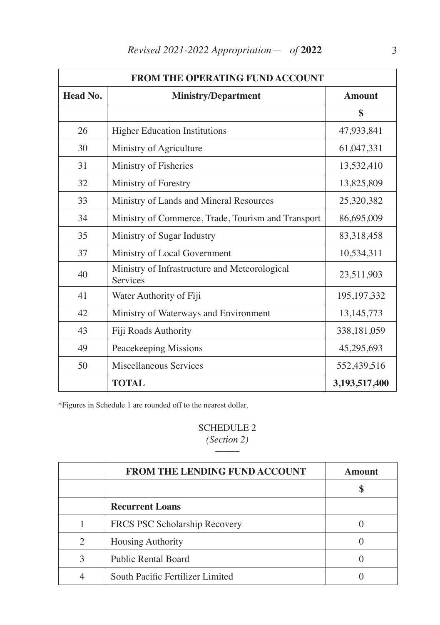| <b>FROM THE OPERATING FUND ACCOUNT</b> |                                                           |               |  |  |
|----------------------------------------|-----------------------------------------------------------|---------------|--|--|
| Head No.                               | <b>Ministry/Department</b>                                | <b>Amount</b> |  |  |
|                                        |                                                           | \$            |  |  |
| 26                                     | <b>Higher Education Institutions</b>                      | 47,933,841    |  |  |
| 30                                     | Ministry of Agriculture                                   | 61,047,331    |  |  |
| 31                                     | Ministry of Fisheries                                     | 13,532,410    |  |  |
| 32                                     | Ministry of Forestry                                      | 13,825,809    |  |  |
| 33                                     | Ministry of Lands and Mineral Resources                   | 25,320,382    |  |  |
| 34                                     | Ministry of Commerce, Trade, Tourism and Transport        | 86,695,009    |  |  |
| 35                                     | Ministry of Sugar Industry                                | 83,318,458    |  |  |
| 37                                     | Ministry of Local Government                              | 10,534,311    |  |  |
| 40                                     | Ministry of Infrastructure and Meteorological<br>Services | 23,511,903    |  |  |
| 41                                     | Water Authority of Fiji                                   | 195, 197, 332 |  |  |
| 42                                     | Ministry of Waterways and Environment                     | 13, 145, 773  |  |  |
| 43                                     | Fiji Roads Authority                                      | 338,181,059   |  |  |
| 49                                     | Peacekeeping Missions                                     | 45,295,693    |  |  |
| 50                                     | Miscellaneous Services                                    | 552,439,516   |  |  |
|                                        | <b>TOTAL</b>                                              | 3,193,517,400 |  |  |

\*Figures in Schedule 1 are rounded off to the nearest dollar.

#### SCHEDULE 2 *(Section 2) \_\_\_\_\_*

|               | <b>FROM THE LENDING FUND ACCOUNT</b> | <b>Amount</b> |
|---------------|--------------------------------------|---------------|
|               |                                      |               |
|               | <b>Recurrent Loans</b>               |               |
|               | FRCS PSC Scholarship Recovery        |               |
| 2             | <b>Housing Authority</b>             |               |
| $\mathcal{R}$ | <b>Public Rental Board</b>           |               |
|               | South Pacific Fertilizer Limited     |               |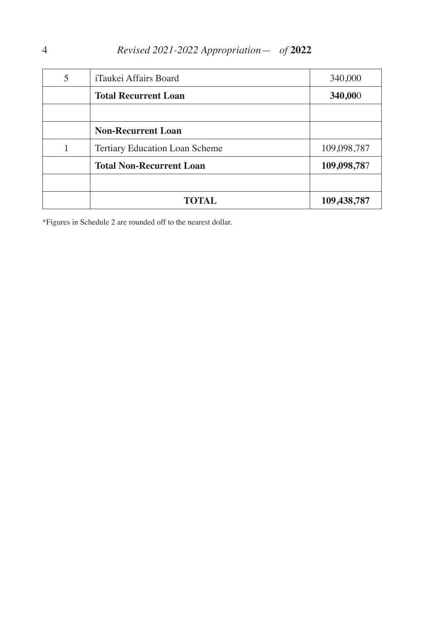| 5 | iTaukei Affairs Board                 | 340,000     |
|---|---------------------------------------|-------------|
|   | <b>Total Recurrent Loan</b>           | 340,000     |
|   |                                       |             |
|   | <b>Non-Recurrent Loan</b>             |             |
|   | <b>Tertiary Education Loan Scheme</b> | 109,098,787 |
|   | <b>Total Non-Recurrent Loan</b>       | 109,098,787 |
|   |                                       |             |
|   | <b>TOTAL</b>                          | 109,438,787 |

\*Figures in Schedule 2 are rounded off to the nearest dollar.